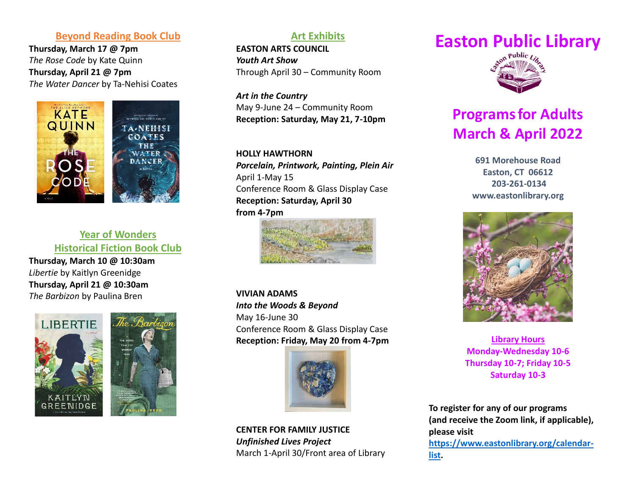## **Beyond Reading Book Club**

**Thursday, March 17 @ 7pm** *The Rose Code* by Kate Quinn **Thursday, April 21 @ 7pm** *The Water Dancer* by Ta-Nehisi Coates



# **Year of Wonders Historical Fiction Book Club**

**Thursday, March 10 @ 10:30am** *Libertie* by Kaitlyn Greenidge **Thursday, April 21 @ 10:30am** *The Barbizon* by Paulina Bren





# **Art Exhibits**

**EASTON ARTS COUNCIL**  *Youth Art Show* Through April 30 – Community Room

*Art in the Country* May 9-June 24 – Community Room **Reception: Saturday, May 21, 7-10pm**

#### **HOLLY HAWTHORN**

*Porcelain, Printwork, Painting, Plein Air* April 1-May 15 Conference Room & Glass Display Case **Reception: Saturday, April 30 from 4-7pm**



**VIVIAN ADAMS** *Into the Woods & Beyond* May 16-June 30 Conference Room & Glass Display Case **Reception: Friday, May 20 from 4-7pm**



**CENTER FOR FAMILY JUSTICE** *Unfinished Lives Project* March 1-April 30/Front area of Library

# **Easton Public Library**



# **Programs for Adults March & April 2022**

**691 Morehouse Road Easton, CT 06612 203-261-0134 [www.eastonlibrary.org](http://www.eastonlibrary.org/)**



**Library Hours Monday-Wednesday 10-6 Thursday 10-7; Friday 10-5 Saturday 10-3**

**To register for any of our programs (and receive the Zoom link, if applicable), please visit [https://www.eastonlibrary.org/calendar](https://www.eastonlibrary.org/calendar-list)[list.](https://www.eastonlibrary.org/calendar-list)**